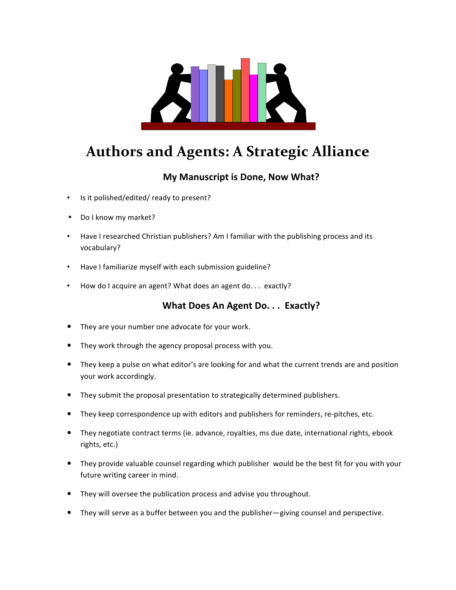

# **Authors and Agents: A Strategic Alliance**

# **My Manuscript is Done, Now What?**

- Is it polished/edited/ ready to present?
- Do I know my market?
- Have I researched Christian publishers? Am I familiar with the publishing process and its vocabulary?
- Have I familiarize myself with each submission guideline?
- How do I acquire an agent? What does an agent do. . . exactly?

# **What Does An Agent Do. . . Exactly?**

- They are your number one advocate for your work.
- They work through the agency proposal process with you.
- They keep a pulse on what editor's are looking for and what the current trends are and position your work accordingly.
- They submit the proposal presentation to strategically determined publishers.
- They keep correspondence up with editors and publishers for reminders, re-pitches, etc.
- They negotiate contract terms (ie. advance, royalties, ms due date, international rights, ebook rights, etc.)
- They provide valuable counsel regarding which publisher would be the best fit for you with your future writing career in mind.
- They will oversee the publication process and advise you throughout.
- They will serve as a buffer between you and the publisher—giving counsel and perspective.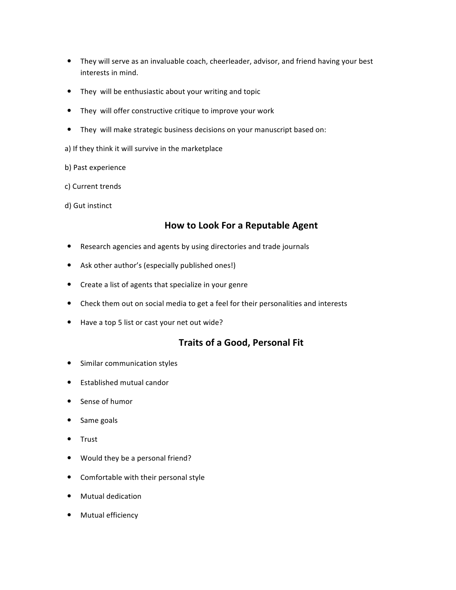- They will serve as an invaluable coach, cheerleader, advisor, and friend having your best interests in mind.
- They will be enthusiastic about your writing and topic
- They will offer constructive critique to improve your work
- They will make strategic business decisions on your manuscript based on:
- a) If they think it will survive in the marketplace
- b) Past experience
- c) Current trends
- d) Gut instinct

### **How to Look For a Reputable Agent**

- Research agencies and agents by using directories and trade journals
- Ask other author's (especially published ones!)
- Create a list of agents that specialize in your genre
- Check them out on social media to get a feel for their personalities and interests
- Have a top 5 list or cast your net out wide?

#### **Traits of a Good, Personal Fit**

- Similar communication styles
- Established mutual candor
- Sense of humor
- Same goals
- Trust
- Would they be a personal friend?
- Comfortable with their personal style
- Mutual dedication
- Mutual efficiency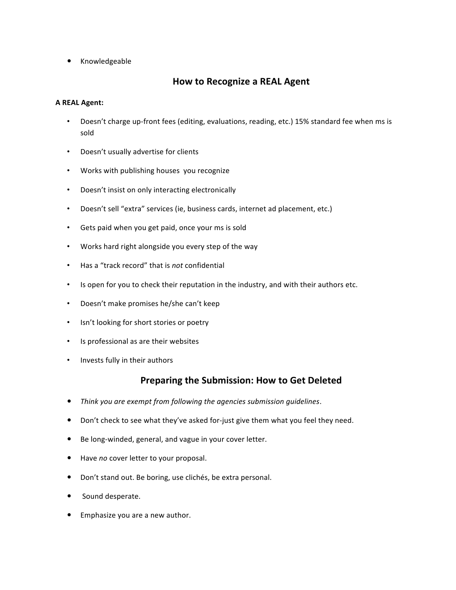• Knowledgeable

# **How to Recognize a REAL Agent**

#### **A REAL Agent:**

- Doesn't charge up-front fees (editing, evaluations, reading, etc.) 15% standard fee when ms is sold
- Doesn't usually advertise for clients
- Works with publishing houses you recognize
- Doesn't insist on only interacting electronically
- Doesn't sell "extra" services (ie, business cards, internet ad placement, etc.)
- Gets paid when you get paid, once your ms is sold
- Works hard right alongside you every step of the way
- Has a "track record" that is *not* confidential
- Is open for you to check their reputation in the industry, and with their authors etc.
- Doesn't make promises he/she can't keep
- Isn't looking for short stories or poetry
- Is professional as are their websites
- Invests fully in their authors

#### **Preparing the Submission: How to Get Deleted**

- Think you are exempt from following the agencies submission guidelines.
- Don't check to see what they've asked for-just give them what you feel they need.
- Be long-winded, general, and vague in your cover letter.
- Have *no* cover letter to your proposal.
- Don't stand out. Be boring, use clichés, be extra personal.
- Sound desperate.
- Emphasize you are a new author.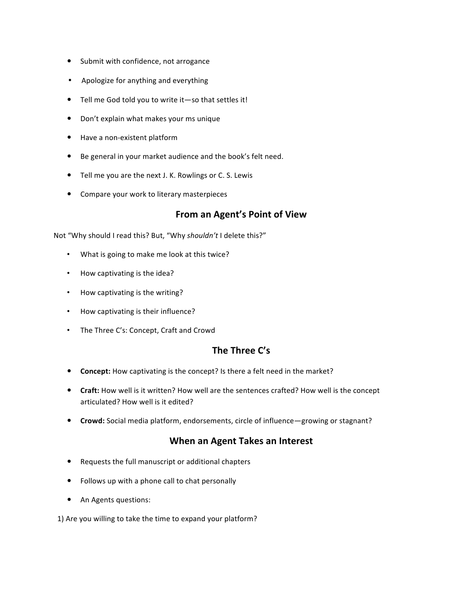- Submit with confidence, not arrogance
- Apologize for anything and everything
- $\bullet$  Tell me God told you to write it -so that settles it!
- Don't explain what makes your ms unique
- Have a non-existent platform
- Be general in your market audience and the book's felt need.
- Tell me you are the next J. K. Rowlings or C. S. Lewis
- Compare your work to literary masterpieces

# **From an Agent's Point of View**

Not "Why should I read this? But, "Why shouldn't I delete this?"

- What is going to make me look at this twice?
- How captivating is the idea?
- How captivating is the writing?
- How captivating is their influence?
- The Three C's: Concept, Craft and Crowd

# The Three C's

- Concept: How captivating is the concept? Is there a felt need in the market?
- Craft: How well is it written? How well are the sentences crafted? How well is the concept articulated? How well is it edited?
- **Crowd:** Social media platform, endorsements, circle of influence—growing or stagnant?

# **When an Agent Takes an Interest**

- Requests the full manuscript or additional chapters
- Follows up with a phone call to chat personally
- An Agents questions:

1) Are you willing to take the time to expand your platform?